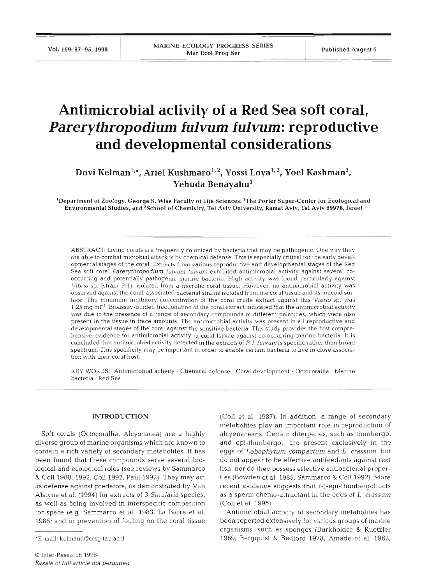# **Antimicrobial activity of a Red Sea soft coral,**  *Parerythropodium fulvum fulvum:* **reproductive and developmental considerations**

Dovi Kelman<sup>1,\*</sup>, Ariel Kushmaro<sup>1,2</sup>, Yossi Loya<sup>1,2</sup>, Yoel Kashman<sup>3</sup>, Yehuda Benayahu<sup>1</sup>

<sup>1</sup>Department of Zoology, George S. Wise Faculty of Life Sciences, <sup>2</sup>The Porter Super-Center for Ecological and Environmental Studies, and 'School of Chemistry. Tel Aviv University, Ramat Aviv, Tel Aviv 69978, Israel

ABSTRACT: Living corals are frequently colonized by bacteria that may be pathogenic. One way they are able to combat microbial attack is by chemical defense. This is especially critical for the early developmental stages of the coral. Extracts from various reproductive and developmental stages of the Red Sea soft coral Parerythropodium fulvum fulvum exhibited antimicrobial activity against several cooccurring and potentially pathogenic marine bacteria. High activity was found particularly against Vibrio sp. (strain P-1), isolated from a necrotic coral tissue. However, no antimicrobial activity was observed against the coral-associated bacterial strains isolated from the coral tissue and its mucoid surface. The minimum inhibitory concentration of the coral crude extract against this Vibrio sp. was  $1.25$  mg m $l^{-1}$  Bioassay-guided fractionation of the coral extract indicated that the antimicrobial activity was due to the presence of a range of secondary compounds of different polarities, which were also present in the tissue in trace amounts. The antimicrobial activity was present in all reproductive and developmental stages of the coral against the sensitive bacteria. This study provides the first comprehensive evidence for antimicrobial activity in coral larvae against co-occurring marine bacteria. It is concluded that antimicrobial activity detected in the extracts of P. f. fulvum is specific rather than broad spectrum. This specificity may be important in order to enable certain bacteria to live in close association with their coral host.

KEY WORDS: Antimicrobial activity · Chemical defense · Coral development · Octocorallia Marine bacteria Red Sea

# **INTRODUCTION**

Soft corals (Octocorallia, Alcyonacea) are a highly diverse group of marine organisms which are known to contain a rich variety of secondary metabolites. It has been found that these compounds serve several biological and ecological roles (see reviews by Sammarco & Coll 1988, 1992, Coll 1992, Paul 1992). They may act as defense against predators, as demonstrated by Van Alstyne et al. (1994) for extracts of 3 *Sinularia* species, as well as being involved in interspecific competition for space (e.g. Sammarco et al. 1983, La Barre et al. 1986) and in prevention of fouling on the coral tissue

(Coll et al. 1987). In addition, a range of secondary metabolites play an important role in reproduction of alcyonaceans. Certain diterpenes, such as thunbergol and epi-thunbergol, are present exclusively in the eggs of Lobophytum compactum and L. crassum, but do not appear to be effective antifeedants against reef fish, nor do they possess effective antibacterial properties (Bowden et al. 1985, Sammarco & Col1 1992). More recent evidence suggests that (-)-epi-thunbergol acts as a sperm chemo-attractant in the eggs of L, crassum (Coll et al. 1995).

Antimicrobial activity of secondary metabolites has been reported extensively for various groups of marine organisms, such as sponges (Burkholder & Ruetzler 1969, Bergquist & Bedford 1978, Amade et al. 1982,

<sup>&</sup>quot;E-mail: kelmand@ccsq.tau.ac.il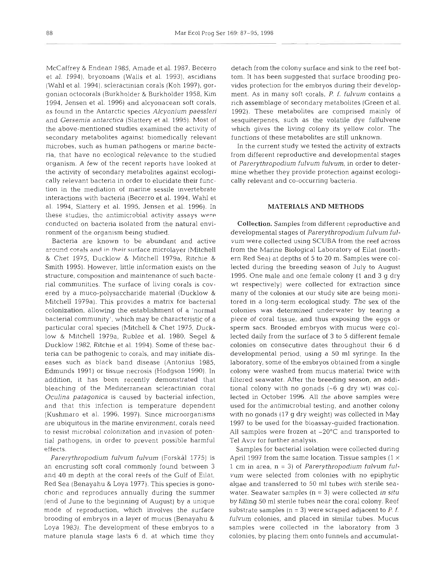McCaffrey & Endean 1985, Amade et al. 1987, Becerro et al. 1994), bryozoans (Walls et al. 1993), ascidians (Wahl et al. 1994), scleractinian corals (Koh 1997), gorgonian octocorals (Burkholder & Burkholder 1958, Kim 1994, Jensen et al. 1996) and alcyonacean soft corals, as found in the Antarctic species *Alcyonium paessleri*  and *Gersemia antarctica* (Slattery et al. 1995). Most of the above-mentioned studies examined the activity of secondary metabolites against biomedically relevant microbes, such as human pathogens or marine bacteria, that have no ecological relevance to the studied organism. A few of the recent reports have looked at the activity of secondary metabolites against ecologically relevant bacteria in order to elucidate their function in the mediation of marine sessile invertebrate interactions with bacteria (Becerro et al. 1994, Wahl et al. 1994, Slattery et al. 1995, Jensen et al. 1996). In these studies, the antimicrobial activity assays were conducted on bacteria isolated from the natural environment of the organism being studied.

Bacteria are known to be abundant and active around corals and in their surface microlayer (Mitchell & Chet 1975, Ducklow & Mitchell 1979a, Ritchie & Smith 1995). However, little information exists on the structure, composition and maintenance of such bacterial communities. The surface of living corals is covered by a muco-polysaccharide material (Ducklow & Mitchell 1979a). This provides a matrix for bacterial colonization, allowing the establishment of a 'normal bacterial community', which may be characteristic of a particular coral species (Mitchell & Chet 1975, Ducklow & Mitchell 1979a, Rublee et al. 1980, Segel & Ducklow 1982, Ritchie et al. 1994). Some of these bacteria can be pathogenic to corals, and may initiate diseases such as black band disease (Antonius 1985, Edmunds 1991) or tissue necrosis (Hodgson 1990). In addition, it has been recently demonstrated that bleaching of the Mediterranean scleractinian coral *Oculina patagonica* is caused by bacterial infection, and that this infection is temperature dependent (Kushmaro et al. 1996, 1997). Since microorganisms are ubiquitous in the marine environment, corals need to resist microbial colonization and invasion of potential pathogens, in order to prevent possible harmful effects.

Parerythropodium fulvum fulvum (Forskål 1775) is an encrusting soft coral commonly found between 3 and 40 m depth at the coral reefs of the Gulf of Eilat, Red Sea (Benayahu & Loya 1977). This species is gonochoric and reproduces annually during the summer (end of June to the beginning of August) by a unique mode of reproduction, which involves the surface brooding of embryos in a layer of mucus (Benayahu & Loya 1983). The development of these embryos to a mature planula stage lasts 6 d, at which time they detach from the colony surface and sink to the reef bottom. It has been suggested that surface brooding provides protection for the embryos during their development. As in many soft corals, *P. f. fulvum* contains a rich assemblage of secondary metabolites (Green et al. 1992). These metabolites are comprised mainly of sesquiterpenes, such as the volatile dye fulfulvene which gives the living colony its yellow color. The functions of these metabolites are still unknown.

In the current study we tested the activity of extracts from different reproductive and developmental stages of *Parerythropodium fulvum Eulvum,* in order to determine whether they provide protection against ecologically relevant and CO-occurring bacteria.

# **MATERIALS AND METHODS**

**Collection.** Samples from different reproductive and developmental stages of *Parerythropodium fulvum fulvum* were collected using SCUBA from the reef across from the Marine Biological Laboratory of Eilat (northern Red Sea) at depths of 5 to 20 m. Samples were collected during the breeding season of July to August 1995. One male and one female colony (1 and 3 g dry wt respectively) were collected for extraction since many of the colonies at our study site are being monitored in a long-term ecological study. The sex of the colonies was determined underwater by tearing a piece of coral tissue, and thus exposing the eggs or sperm sacs. Brooded embryos with mucus were collected daily from the surface of 3 to 5 different female colonies on consecutive dates throughout their 6 d developmental period, using a 50 m1 syringe. In the laboratory, some of the embryos obtained from a single colony were washed from mucus material twice with filtered seawater. After the breeding season, an additional colony with no gonads (-6 g dry wt) was collected in October 1996. All the above samples were used for the antimicrobial testing, and another colony with no gonads (l? g dry weight) was collected in May 1997 to be used for the bioassay-guided fractionation. All samples were frozen at  $-20^{\circ}$ C and transported to Tel Aviv for further analysis.

Samples for bacterial isolation were collected during April 1997 from the same location. Tissue samples (1  $\times$ 1 cm in area, n = 3) of *Parerythropodium fulvum fulvum* were selected from colonies with no epiphytic algae and transferred to 50 m1 tubes with sterile seawater. Seawater samples (n = 3) were collected *in situ*  by filling 50 m1 sterile tubes near the coral colony. Reef substrate samples (n = **3)** were scraped adjacent to P. *E. Eulvum* colonies, and placed in similar tubes. Mucus samples were collected in the laboratory from 3 colonies, by placing them onto funnels and accumulat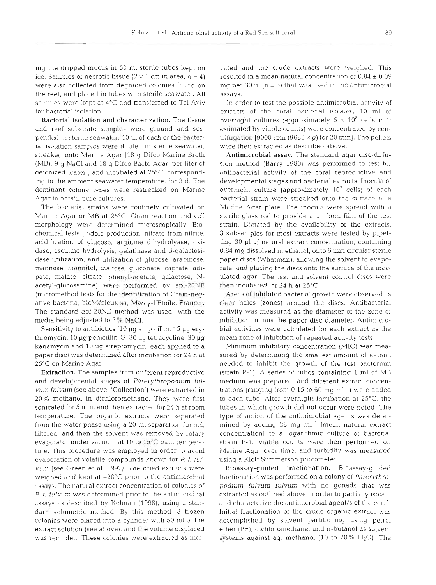ing the dripped mucus in 50 m1 sterile tubes kept on ice. Samples of necrotic tissue  $(2 \times 1 \text{ cm in area}, n = 4)$ were also collected from degraded colonies found on the reef, and placed in tubes with sterile seawater. All samples were kept at 4°C and transferred to Tel Aviv for bacterial isolation.

Bacterial isolation and characterization. The tissue and reef substrate samples were ground and suspended in sterile seawater. 10 p1 of each of the bacterial isolation samples were diluted in sterile seawater, streaked onto Marine Agar [l8 g Difco Marine Broth (MB), 9 g NaCl and 18 g Difco Bacto Agar, per liter of deionized water], and incubated at 25'C, corresponding to the ambient seawater temperature, for 3 d. The dominant colony types were restreaked on Marine Agar to obtain pure cultures.

The bacterial strains were routinely cultivated on Marine Agar or MB at 25°C. Gram reaction and cell morphology were determined microscopically. Biochemical tests (indole production, nitrate from nitrite, acidification of glucose, arginine dihydrolyase, oxidase, esculine hydrolysis, gelatinase and  $\beta$ -galactosidase utilization, and, utilization of glucose, arabinose, mannose, mannitol, maltose, gluconate, caprate, adipate, malate, citrate, phenyl-acetate, galactose, Nacetyl-glucosamine) were performed by api-20NE (micromethod tests for the identification of Gram-negative bacteria; bioMérieux sa, Marcy-l'Etoile, France). The standard api-20NE method was used, with the media being adjusted to  $3\%$  NaCl.

Sensitivity to antibiotics (10 µg ampicillin, 15 µg erythromycin, 10 μg penicillin-G, 30 μg tetracycline, 30 μg kanamycin and 10 pg streptomycin, each applied to a paper disc) was determined after incubation for 24 h at 25°C on Marine Agar.

Extraction. The samples from different reproductive and developmental stages of *Parerythropodium fulvum fulvum* (see above: 'Collection') were extracted in 20% methanol in dichloromethane. They were first sonicated for 5 min, and then extracted for 24 h at room temperature. The organic extracts were separated from the water phase using a 20 ml separation funnel, filtered, and then the solvent was removed by rotary evaporator under vacuum at 10 to  $15^{\circ}$ C bath temperature. This procedure was employed in order to avoid evaporation of volatile compounds known for P f, *fulvum* (see Green et al. 1992). The dried extracts were weighed and kept at  $-20^{\circ}$ C prior to the antimicrobial assays. The natural extract concentration of colonies of P. *f. fulvum* was determined prior to the antimicrobial assays as described by Kelman (1998), using a standard volumetric method. By this method, **3** frozen colonies were placed into a cylinder with 50 m1 of the extract solution (see above), and the volume displaced was recorded. These colonies were extracted as indi-

cated and the crute existats were weighed. This may per 30 and the crute with a mean natural concentration of 0.84 ± 0.09 mg per 30 yi (n = 3) that was used in the antimicrobial activity of extractes of the coral bacteria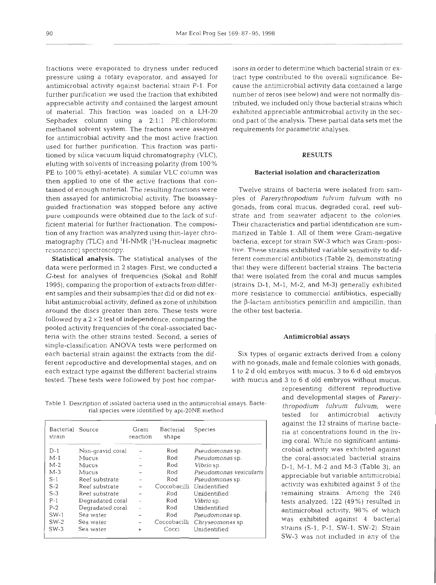fractions were evaporated to dryness under reduced pressure using a rotary evaporator, and assayed for antimicrobial activity against bacterial strain P-l. For further purification we used the fraction that exhibited appreciable activity and contained the largest amount of material. This fraction was loaded on a LH-20 Sephadex column using a 2:1:1 PE:chloroform: methanol solvent system. The fractions were assayed for antimicrobial activity and the most active fraction used for further purification. This fraction was partitioned by silica vacuum liquid chromatography (VLC), eluting with solvents of increasing polarity (from 100 % PE to 100% ethyl-acetate). A similar VLC column was then applied to one of the active fractions that contained of enough material. The resulting fractions were then assayed for antimicrobial activity. The bioassayguided fractionation was stopped before any active pure compounds were obtained due to the lack of sufficient material for further fractionation. The composition of any fraction was analyzed using thin-layer chromatography (TLC) and 'H-NMR ('H-nuclear magnetic rcsonance) spectroscopy.

Statistical analysis. The statistical analyses of the data were performed in 2 stages. First, we conducted a G-test for analyses of frequencies (Sokal and Rohlf 1995), comparing the proportion of extracts from different samples and their subsamples that did or did not exhibit antimicrobial activity, defined as zone of inhibition around the discs greater than zero. These tests were followed by a  $2 \times 2$  test of independence, comparing the pooled activity frequencies of the coral-associated bacteria with the other strains tested. Second, a series of single-classification ANOVA tests were performed on each bacterial strain against the extracts from the different reproductive and developmental stages, and on each extract type against the different bacterial strains tested. These tests were followed by post hoc compar-

Table 1. Description of isolated bacteria used in the antimicrobial assays. Bacte- *thropodium fulvum fulvum,* were rial species were identified by api-20NE method tested for antimicrobial activity

| Bacterial Source<br>strain |                                  | Gram<br>reaction         | Bacterial<br>shape  | Species                         |
|----------------------------|----------------------------------|--------------------------|---------------------|---------------------------------|
| $D-1$<br>$M-1$             | Non-gravid coral<br>Mucus        |                          | Rod                 | Pseudomonas sp.                 |
| $M-2$                      | Mucus                            |                          | Rod<br>Rod          | Pseudomonas sp.<br>Vibrio sp.   |
| $M-3$                      | Mucus                            |                          | Rod                 | Pseudomonas vesicularis         |
| $S-1$<br>$S-2$             | Reef substrate<br>Reef substrate | $\overline{\phantom{0}}$ | Rod<br>Coccobacilli | Pseudomonas sp.<br>Unidentified |
| $S-3$                      | Reef substrate                   |                          | Rod                 | Unidentified                    |
| $P-1$                      | Degradated coral                 | $\sim$                   | Rod                 | Vibrio sp.<br>Unidentified      |
| P-2<br>$SW-1$              | Degradated coral<br>Sea water    | $\sim$                   | Rod<br>Rod          | Pseudomonas sp.                 |
| $SW-2$                     | Sea water                        | $\overline{\phantom{0}}$ | Coccobacilli        | Chryseomonas sp.                |
| $SW-3$                     | Sea water                        | $^{+}$                   | Cocci               | Unidentified                    |

isons in order to determine which bacterial strain or ex-<br>tract type contributed to the overall significance. Be-<br>cause the antimicrobial activity data contained a large<br>number of zeros (see below) and were not normally di

# **RESULTS**

**Bacterial isolation and characterization**<br>Twelve strains of bacteria were isolated from sam-<br>less of *Parerythropodium fulvum fulvum wi*th no<br>ponads, from coral mucus, degraded coral, reef sub-<br>trate and from seawater ad

representing different reproductive and developmental stages of *Parery-*D-l Non-gravid coral - Rod *Pseudornonas* sp. I crobial activity was exhibited against I M-l Mucus - Rod *Pseudornonas* sp. the coral-associated bacterial strains against the 12 strains of marine bacteria at concentrations found in the living coral. While no significant antimi-SW-3 was not included in any of the tests analyzed, 122 (49%) resulted in antimicrobial activity, 98% of which was exhibited against 4 bacterial strains (S-l, P-l, SW-1, SW-2). Strain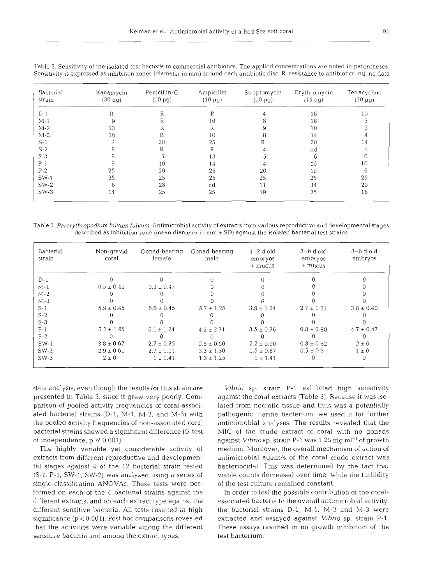| Bacterial<br>strain | Kanamycin<br>$(30 \mu g)$ | Penicillin-G<br>$(10 \mu g)$ | Ampicillin<br>$(10 \mu g)$ | Streptomycin<br>$(10 \mu g)$ | Erythromycin<br>$(15 \mu g)$ | Tetracycline<br>$(30 \mu g)$ |
|---------------------|---------------------------|------------------------------|----------------------------|------------------------------|------------------------------|------------------------------|
| $D-1$               | R                         | R                            | R                          |                              | 16                           | 10                           |
| $M-1$               |                           |                              | 19                         |                              | 18                           | 3                            |
| $M-2$               | 13                        |                              | R                          |                              | 10                           |                              |
| $M-3$               | 10                        |                              | 10                         |                              | 14                           |                              |
| $S-1$               | ◠                         | 20                           | 25                         | R                            | 20                           | 14                           |
| $S-2$               |                           | R                            | R                          |                              | nd                           |                              |
| $S-3$               |                           |                              | 13                         |                              | 6                            | 6                            |
| $P-1$               |                           | 10                           | 14                         |                              | 10                           | 10                           |
| $P-2$               | 25                        | 20                           | 25                         | 20                           | 10                           | 6                            |
| $SW-1$              | 25                        | 25                           | 25                         | 25                           | 25                           | 25                           |
| $SW-2$              | 6                         | 28                           | nd                         | 11                           | 34                           | 20                           |
| $SW-3$              | 14                        | 25                           | 25                         | 19                           | 25                           | 16                           |

Table 2. Sensitivity of the isolated test bacteria to commercial antibiotics. The applied concentrations are noted in parentheses. Sensitivity is expressed as inhibition zones (diameter in mm) around each antibiotic disc, R: resistance to antibiotics. nd: no data

Table **3.** Parerythropodjum fulvum fulvum. Antimicrobial activity of extracts from various reproductive and developmental stages described as inhibition zone (mean diameter in  $mm \pm SD$ ) against the isolated bacterial test strains

| Bacterial<br>strain | Non-gravid<br>coral | Gonad-bearing<br>female | Gonad-bearing<br>male | $1-2$ d old<br>embryos<br>+ mucus | $3-6$ d old<br>embryos<br>+ mucus | $3-6$ d old<br>embryos |
|---------------------|---------------------|-------------------------|-----------------------|-----------------------------------|-----------------------------------|------------------------|
| $D-1$               |                     |                         |                       |                                   |                                   |                        |
| M-1                 | $0.5 \pm 0.41$      | $0.3 \pm 0.47$          |                       |                                   |                                   |                        |
| $M-2$               |                     |                         |                       |                                   |                                   |                        |
| $M-3$               |                     |                         |                       |                                   |                                   |                        |
| $S-1$               | $5.9 \pm 0.45$      | $6.6 \pm 0.45$          | $5.7 \pm 1.25$        | $3.9 \pm 1.24$                    | $2.7 \pm 1.21$                    | $3.8 \pm 0.40$         |
| $S-2$               |                     |                         |                       |                                   |                                   |                        |
| $S-3$               |                     |                         |                       |                                   |                                   |                        |
| $P-1$               | $5.2 \pm 1.95$      | $6.1 \pm 1.24$          | $4.2 \pm 2.71$        | $3.5 \pm 0.76$                    | $0.8 \pm 0.80$                    | $4.7 \pm 0.47$         |
| $P-2$               |                     |                         |                       |                                   |                                   |                        |
| $SW-1$              | $3.8 \pm 0.62$      | $2.7 \pm 0.75$          | $2.5 \pm 0.50$        | $2.2 \pm 0.90$                    | $0.8 \pm 0.62$                    | $2 \pm 0$              |
| $SW-2$              | $2.9 \pm 0.61$      | $2.7 \pm 1.11$          | $3.3 \pm 1.30$        | $1.5 \pm 0.87$                    | $0.5 \pm 0.5$                     | $1 \pm 0$              |
| $SW-3$              | $2 \pm 0$           | $1 \pm 1.41$            | $1.3 \pm 1.25$        | $1 \pm 1.41$                      |                                   |                        |

data analysis, even though the results for this strain are presented in Table 3, since it grew very poorly. Comparison of pooled activity frequencies of coral-associated bacterial strains (D-l, M-l, M-2, and M-3) wlth the pooled activity frequencies of non-associated coral bacterial strains showed a significant difference (G-test of independence,  $p \ll 0.001$ ).

The highly variable yet considerable activity of extracts from different reproductive and developmental stages against 4 of the 12 bacterial strain tested (S-l, P-l, SW-1, SW-2) was analyzed using a series of single-classification ANOVAs. These tests were performed on each of the 4 bactenal strains against the different extracts, and on each extract type against the different sensitive bacteria. All tests resulted in high significance (p < 0.001). Post hoc comparisons revealed that the activities were variable among the different sensitive bacteria and among the extract types.

Vibrio sp. strain P-l exhibited high sensitivity against the coral extracts (Table **3).** Because it was isolated from necrotic tissue and thus was a potentially pathogenic marine bacterium, we used it for further antimicrobial analyses. The results revealed that the MIC of the crude extract of coral with no gonads against *Vibrio* sp. strain P-1 was 1.25 mg m $l^{-1}$  of growth medium. Moreover, the overall mechanism of action of antimicrobial agent/s of the coral crude extract was bacteriocidal. This was determined by the fact that viable counts decreased over time, while the turbidity of the test culture remained constant.

In order to test the possible contribution of the coralassociated bacteria to the overall antimicrobial activity, the bactenal strains D-l, M-l, M-2 and M-3 were extracted and assayed against Vibrio sp. strain P-1. These assays resulted in no growth inhibition of the test bacterium.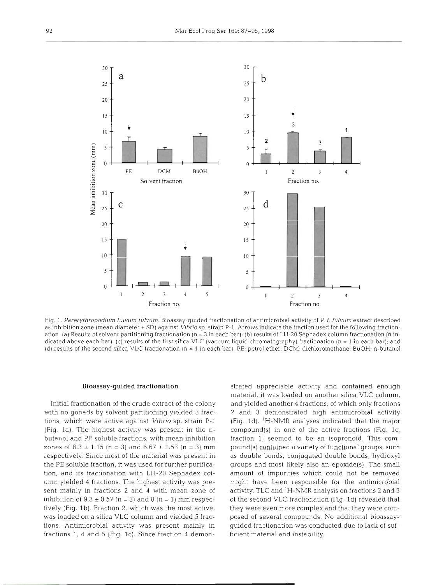

Fig. 1. Parerythropodium fulvum fulvum. Bioassay-guided fractionation of antimicrobial activity of P. f. fulvum extract described as inhibition zone (mean diameter + SD) against *Vibrio* sp. strain P-1. Arrows indicate the fraction used for the following fractionation. (a) Results of solvent partitioning fractionation (n = 3 in each bar), (b) results of LH-20 Sephadex column fractionation (n indicated above each bar); (c) results of the first silica VLC (vacuum liquid chromatography) fractionation (n = 1 in each bar); and (d) results of the second silica VLC fractionation (n = 1 in each bar). PE: petrol ether, DCM: dichloromethane, BuOH: n-butanol

### **Bioassay-guided fractionation**

with no gonads by solvent partitioning yielded 3 frac-<br>
2 and 3 demonstrated high antimicrobial activity tions, which were active against *Vibrio* sp. strain P-1 (Fig. 1d). <sup>1</sup>H-NMR analyses indicated that the major (Fig. 1a). The highest activity was present in the n-compound(s) in one of the active fractions (Fig. 1c, butanol and PE soluble fractions, with mean inhibition fraction 1) seemed to be an isoprenoid. This comzones of 8.3  $\pm$  1.15 (n = 3) and 6.67  $\pm$  1.53 (n = 3) mm pound(s) contained a variety of functional groups, such respectively. Since most of the material was present in as double bonds, conjugated double bonds, hydroxyl the PE soluble fraction, it was used for further purifica- qroups and most likely also an epoxide(s). The small tion, and its fractionation with LH-20 Sephadex col-<br>amount of impurities which could not be removed umn yielded 4 fractions. The highest activity was pre- might have been responsible for the antimicrobial sent mainly in fractions 2 and 4 with mean zone of activity. TLC and <sup>1</sup>H-NMR analysis on fractions 2 and 3 inhibition of  $9.3 \pm 0.57$  (n = 3) and 8 (n = 1) mm respec-of the second VLC fractionation (Fig. 1d) revealed that tively (Fig. 1b). Fraction 2, which was the most active, they were even more complex and that they were comwas loaded on a silica VLC column and yielded 5 frac- posed of several compounds. No additional bioassaytions. Antimicrobial activity was present mainly in fractions 1, 4 and 5 (Fig. 1c). Since fraction 4 demon- ficient material and instability.

Initial fractionation of the crude extract of the colony and yielded another 4 fractions, of which only fractions ed appreciable activity and contained enough<br>rial, it was loaded on another silica VLC column,<br>yielded another 4 fractions, of which only fractions<br>d 3 demonstrated high antimicrobial activity<br>1d). 'H-NMR analyses indicate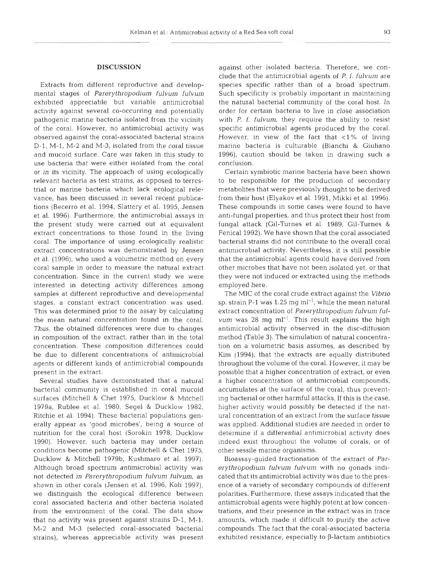## **DISCUSSION**

Extracts from different reproductive and developmental stages of *Parerythropodium fulvum fulvum*  exhibited appreciable but variable antimicrobial activity against several CO-occurring and potentially pathogenic marine bacteria isolated from the vicinity of the coral. However, no antimicrobial activity was observed against the coral-associated bacterial strains D-l, M-l, M-2 and M-3, isolated from the coral tissue and mucoid surface. Care was taken in this study to use bacteria that were either isolated from the coral or in its vicinity. The approach of using ecologically relevant bacteria as test strains, as opposed to terrestrial or marine bacteria which lack ecological relevance, has been discussed in several recent publications (Becerro et al. 1994, Slattery et al. 1995, Jensen et al. 1996). Furthermore, the antimicrobial assays in the present study were carried out at equivalent extract concentrations to those found in the living coral. The importance of using ecologically realistic extract concentrations was demonstrated by Jensen et al. (1996), who used a volumetric method on every coral sample in order to measure the natural extract concentration. Since in the current study we were interested in detecting activity differences among samples at different reproductive and developmental stages, a constant extract concentration was used. This was determined prior to the assay by calculating the mean natural concentration found in the coral. Thus, the obtained differences were due to changes in composition of the extract, rather than in the total concentration. These composition differences could be due to different concentrations of antimicrobial agents or different kinds of antimicrobial compounds present in the extract.

Several studies have demonstrated that a natural bacterial community is established in coral mucoid surfaces (Mitchell & Chet 1975, Ducklow & Mitchell 1979a. Rublee et al. 1980. Segel & Ducklo\v 1982, Ritchie et al. 1994). These bacterial populations generally appear as 'good microbes', being a source of nutrition for the coral host (Sorokin 1978, Ducklow 1990). However, such bacteria may under certain conditions become pathogenic (Mitchell & Chet 1975, Ducklow & Mitchell 1979b, Kushmaro et al. 1997). Although broad spectrum antimicrobial activity was not detected in *Parerythropodium fulvum fulvum,* as shown in other corals (Jensen et al. 1996, Koh 1997), we distinguish the ecological difference between coral associated bacteria and other bacteria isolated from the environment of the coral. The data show that no activity was present against strains D-l, M-l, M-2 and M-3 (selected coral-associated bacterial strains), whereas appreciable activity was present

against other isolated bacteria. Therefore, we conclude that the antimicrobial agents of *P. f. fulvum* are species specific rather than of a broad spectrum. Such specificity is probably important in maintaining the natural bacterial community of the coral host. In order for certain bacteria to live in close association with *P. f. fulvum,* they require the ability to resist specific antimicrobial agents produced by the coral. However, in view of the fact that  $\langle 1\% \rangle$  of living marine bacteria is culturable (Bianchi & Giuliano 1996), caution should be taken in drawing such a conclusion.

Certain symbiotic marine bacteria have been shown to be responsible for the production of secondary metabolites that were previously thought to be derived from their host (Elyakov et al. 1991, Mikki et al. 1996). These compounds in some cases were found to have anti-fungal properties, and thus protect their host from fungal attack (Gil-Turnes et al. 1989, Gil-Turnes & Fenical 1992). We have shown that the coral associated bacterial strains did not contribute to the overall coral antimicrobial activity. Nevertheless, it is still possible that the antimicrobial agents could have derived from other microbes that have not been isolated yet, or that they were not induced or extracted using the methods employed here.

The MIC of the coral crude extract against the *Vibrio*  sp. strain P-1 was 1.25 mg ml<sup>-1</sup>, while the mean natural extract concentration of *Parerythropodium fulvum fulvum* was 28 mg ml-'. This result explains the high antimicrobial activity observed in the disc-diffusion method (Table **3).** The simulation of natural concentration on a volumetric basis assumes, as described by Kim (1994), that the extracts are equally distributed throughout the volume of the coral. However, it may be possible that a higher concentration of extract, or even a higher concentration of antimicrobial compounds, accumulates at the surface of the coral, thus preventing bacterial or other harmful attacks. If this is the case, higher activity would possibly be detected if the natural concentration of an extract from the surface tissue was applied. Additional studies are needed in order to determine if a differential antimicrobial activity does indeed exist throughout the volume of corals, or of other sessile marine organisms.

Bioassay-guided fractionation of the extract of *Parerythropodium fulvum fulvurn* with no gonads indicated that its antimicrobial activity was due to the presence of a variety of secondary compounds of different polarities. Furthermore, these assays indicated that the antimicrobial agents were highly potent at low concentrations, and their presence in the extract was in trace amounts, which made it difficult to purify the active compounds. The fact that the coral-associated bacteria exhibited resistance, especially to  $\beta$ -lactam antibiotics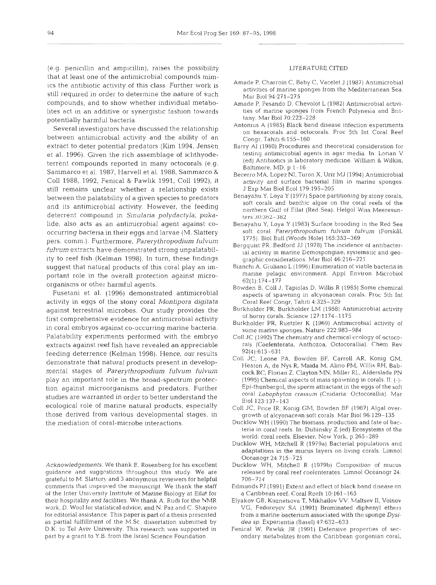(e.g. penicillin and ampicillin), raises the possibility that at least one of the antimicrobial compounds mimics the antibiotic activity of this class. Further work is still required in order to determine the nature of such compounds, and to show whether individual metabolites act in an additive or synergistic fashion towards potentially harmful bacteria.

Several investigators have discussed the relationship between antimlcrobial activity and the ability of an extract to deter potential predators (Kim 1994, Jensen et al. 1996). Given the rich assemblage of ichthyodeterrent compounds reported in many octocorals (e.g. Sammarco et al. 1987, Harvell et al. 1988, Sammarco & Coll 1988, 1992, Fenical & Pawlik 1991, Coll 1992), it still remains unclear whether a relationship exists between the palatability of a given species to predators and its antimicrobial activity. However, the feeding deterrent compound in Sinularia polydactyla, pukalide, also acts as an antimicrobial agent against cooccurring bacteria in their eggs and larvae (M. Slattery pers, comm.). Furthermore, *Parerythropodium fulvum*   $fulvum$  extracts have demonstrated strong unpalatability to reef fish (Kelman 1998). In turn, these findings suggest that natural products of this coral play an important role in the overall protection against microorganisms or other harmful agents.

Fusetani et al. (1996) demonstrated antimicrobial activity in eggs of the stony coral *Montipora digitata*  against terrestrial microbes. Our study provides the first comprehensive evidence for antimicrobial activity in coral embryos against co-occurring marine bacteria. Palatability experiments performed with the embryo extracts against reef fish have revealed an appreciable feeding deterrence (Kelman 1998). Hence, our results demonstrate that natural products present in developmental stages of *Parerythropodium fulvum fulvum*  play an important role in the broad-spectrum protection against microorganisms and predators. Further studies are warranted in order to better understand the ecological role of marine natural products, especially those derived from various developmental stages, in the mediation of coral-microbe interactions.

Acknowledgements. We thank E. Rosenberg for his excellent guidance and suggestions throughout this study. We are grateful to M. Slattcry and 3 anonymous reviewers for helpful comments that jmproved the manuscript We thank the staff of the Inter University Institute of Marine Biology at Eilat for their hospitality and facilities. We thank A. Rudi for the NMR work, D. Wool for statistical advice, and N. Paz and C. Shapiro for editorial assistance. This paper IS part of a thesis presented as partial fulfillment of the M.Sc. dissertation submitted by D.K. to Tel Aviv University. This research was supported in part by a grant to Y.B. from the Israel Science Foundation.

### LITERATURE CITED

- Amade P, Charroin C, Baby C, Vacelet J (1987) Antimicrobial activities of marine sponges from the Mediterranean Sea. Mar Biol 94:271-275
- Amade P, Pesando D, Chevolot L (1982) Antimicrobial activities of marine sponges from French Polynesia and Brittany. Mar Biol 70:223-228
- Antonius A (1985) Black band disease infection experiments on hexacorals and octocorals. Proc 5th Int Coral Reef Congr, Tahiti 6:155-160
- Barry AI (1980) Procedures and theoretical consideration for testing antimicrobial agents in agar media. In: Lorian V (ed) Antibiotics in laboratory medicine. William & Wilkin, Baltimore, MD, p 1-16
- Becerro MA, Lopez NI, Turon X, Uriz MJ (1994) Antimicrobial activity and surface bacterial film in marine sponges. J Exp Mar Biol Ecol 179:195-205
- Benayahu Y, Loya Y (1977) Space partitioning by stony corals, soft corals and benthic algae on the coral reefs of the northern Gulf of Eilat (Red Sea). Helgol Wiss Meeresunters 30:362-382
- Benayahu *Y.* Loya Y (1983) Surface brooding in the Red Sea soft coral Parerythropodium fulvum fulvum (Forskål, 1775). Biol Bull (Woods Hole) 165353-369
- Bergquist PR. Bedford JJ (1978) The incidence of antibacterlal activity in marine Demospongiae, systematic and geographic considerations. Mar Biol 46:216-221.
- Bianchi A, Giuliano L (1996) Enumeration of viable bactena in marine pelagic environment. Appl Environ Microbiol 62(1):174-177
- Bowden B, Coll J, Tapiolas D, Willis R (1985) Some chemical aspects of spawning in alcyonacean corals. Proc 5th Int Coral Reef Congr, Tahiti 4:325-329
- Burkholder PR, Burkholder LM (1958) Antimicrobial activity of horny COrals. Science 127:1174-1175
- Burkholder PR, Ruetzler K (1969) Antimicrobial activity of some marine sponges. Nature 222:983-984
- Coll JC (1992) The chemistry and chemical ecology of octocorals (Coelenterata, Anthozoa, Octocorallia). Chem Rev 92(4):613-631
- Coll JC, Leone PA, Bowden BF, Carroll AR, Konig GM, Heaton A, de Nys R, Maida M. Alino PM, Willis RH, Babcock RC:, Flonan 2, Clayton MN, Mlller RL, Alderslade PN (1995) Chemical aspects of mass spawning in corals. 11. (-1- Epi-thunbergol, the sperm attractant in the eggs of the soft coral Lobophyton crassum (Cnidaria: Octocorallia) Mar Biol 123:137-143
- Coll JC, Price IR, Konig GM, Bowden BF (1987) Algal overgrowth of alcyonacean soft corals. Mar Biol 96:129–135
- Ducklow WH (1990) The biomass, production and fate of bacteria in coral reefs. In: Dubinsky Z (ed) Ecosystems of the world: coral reefs. Elsevier, New York, p 265-289
- Ducklow WH, Mitchell R (1979a) Bacterial populations and adaptations in the mucus layers on living corals. Limnol Oceanogr 24:715-725
- Ducklow WH, Mitchell R (1979b) Composition of mucus released by coral reef coelenterates. Limnol Oceanogr 24: 706-714
- Edmunds PJ (1991) Extent and effect of black band disease on a Caribbean reef. Coral Reefs 10.161-165
- Elyakov GB, Kuznetsova T, Mikhailov VV, Maltsev II, Voinov VG, Fedorcycy SA (1991) Brominated diphenyl ethers from a mannc bacterium associated with the sponge *Dvsr*dea *sp.* Experientia (Basel) 4?:632-633
- Fenical W. Pawlik JR (1991) Defensive properties of secondary metabolites from the Caribbean gorgonian coral.